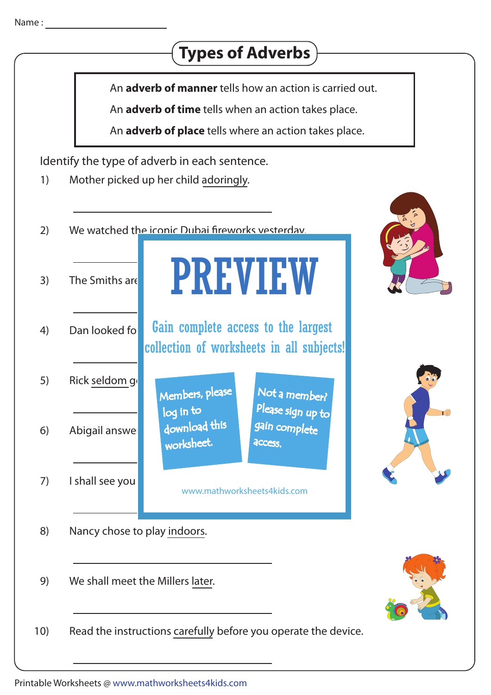



An **adverb of manner** tells how an action is carried out.

An **adverb of time** tells when an action takes place.

An **adverb of place** tells where an action takes place.

PREVIEW

Identify the type of adverb in each sentence.

- 1) Mother picked up her child adoringly.
- 2) We watched the iconic Dubai fireworks vesterday.
- 3) The Smiths are going home  $\blacksquare$
- 4) Dan looked for **Gain complete access to the largest** collection of worksheets in all subjects!

Members, please

 download this worksheet.

log in to

- 5) Rick seldom go
- 6) Abigail answei
- $7$  I shall see you

Not a member? gain complete Please sign up to **access** 

www.mathworksheets4kids.com

- 8) Nancy chose to play indoors.
- 9) We shall meet the Millers later.

10) Read the instructions carefully before you operate the device.